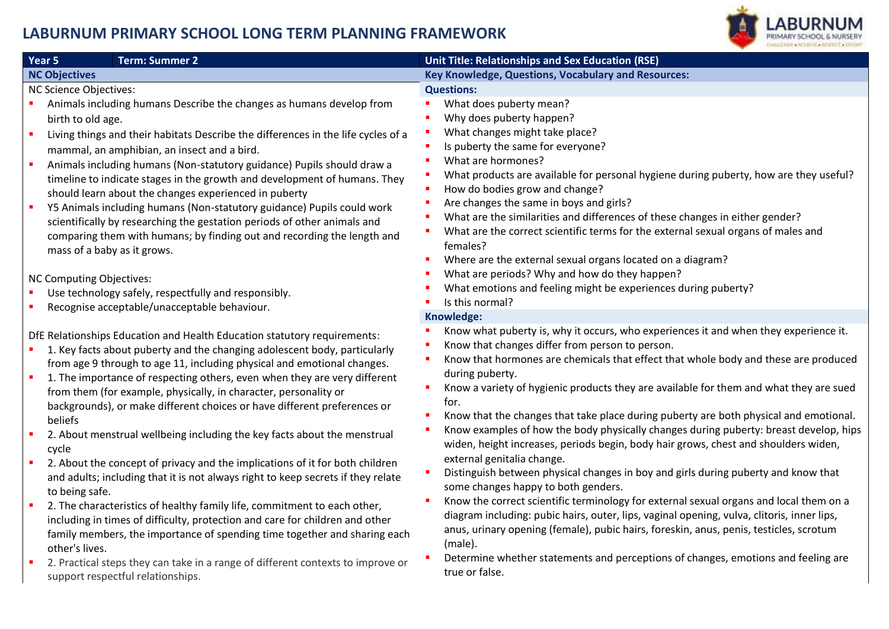## **LABURNUM PRIMARY SCHOOL LONG TERM PLANNING FRAMEWORK**



| Year 5<br><b>Term: Summer 2</b>                                                                                                                                                                                                                                                                                                                                                                                                                                                                                                                                                                                                                                                                                                                                                                                                                                                                                                                                                                                                                                                                                                        | Unit Title: Relationships and Sex Education (RSE)                                                                                                                                                                                                                                                                                                                                                                                                                                                                                                                                                                                                                                                                                                                                                                                                                                                                                                                                                                                                                                                                                                                                                         |
|----------------------------------------------------------------------------------------------------------------------------------------------------------------------------------------------------------------------------------------------------------------------------------------------------------------------------------------------------------------------------------------------------------------------------------------------------------------------------------------------------------------------------------------------------------------------------------------------------------------------------------------------------------------------------------------------------------------------------------------------------------------------------------------------------------------------------------------------------------------------------------------------------------------------------------------------------------------------------------------------------------------------------------------------------------------------------------------------------------------------------------------|-----------------------------------------------------------------------------------------------------------------------------------------------------------------------------------------------------------------------------------------------------------------------------------------------------------------------------------------------------------------------------------------------------------------------------------------------------------------------------------------------------------------------------------------------------------------------------------------------------------------------------------------------------------------------------------------------------------------------------------------------------------------------------------------------------------------------------------------------------------------------------------------------------------------------------------------------------------------------------------------------------------------------------------------------------------------------------------------------------------------------------------------------------------------------------------------------------------|
| <b>NC Objectives</b>                                                                                                                                                                                                                                                                                                                                                                                                                                                                                                                                                                                                                                                                                                                                                                                                                                                                                                                                                                                                                                                                                                                   | Key Knowledge, Questions, Vocabulary and Resources:                                                                                                                                                                                                                                                                                                                                                                                                                                                                                                                                                                                                                                                                                                                                                                                                                                                                                                                                                                                                                                                                                                                                                       |
| <b>NC Science Objectives:</b><br>Animals including humans Describe the changes as humans develop from<br>birth to old age.<br>Living things and their habitats Describe the differences in the life cycles of a<br>mammal, an amphibian, an insect and a bird.<br>Animals including humans (Non-statutory guidance) Pupils should draw a<br>timeline to indicate stages in the growth and development of humans. They<br>should learn about the changes experienced in puberty<br>Y5 Animals including humans (Non-statutory guidance) Pupils could work<br>scientifically by researching the gestation periods of other animals and<br>comparing them with humans; by finding out and recording the length and<br>mass of a baby as it grows.<br><b>NC Computing Objectives:</b><br>Use technology safely, respectfully and responsibly.                                                                                                                                                                                                                                                                                              | <b>Questions:</b><br>What does puberty mean?<br>Why does puberty happen?<br>What changes might take place?<br>Is puberty the same for everyone?<br>What are hormones?<br>What products are available for personal hygiene during puberty, how are they useful?<br>How do bodies grow and change?<br>Are changes the same in boys and girls?<br>What are the similarities and differences of these changes in either gender?<br>What are the correct scientific terms for the external sexual organs of males and<br>females?<br>Where are the external sexual organs located on a diagram?<br>What are periods? Why and how do they happen?<br>What emotions and feeling might be experiences during puberty?                                                                                                                                                                                                                                                                                                                                                                                                                                                                                             |
| Recognise acceptable/unacceptable behaviour.                                                                                                                                                                                                                                                                                                                                                                                                                                                                                                                                                                                                                                                                                                                                                                                                                                                                                                                                                                                                                                                                                           | Is this normal?                                                                                                                                                                                                                                                                                                                                                                                                                                                                                                                                                                                                                                                                                                                                                                                                                                                                                                                                                                                                                                                                                                                                                                                           |
| DfE Relationships Education and Health Education statutory requirements:<br>1. Key facts about puberty and the changing adolescent body, particularly<br>from age 9 through to age 11, including physical and emotional changes.<br>1. The importance of respecting others, even when they are very different<br>from them (for example, physically, in character, personality or<br>backgrounds), or make different choices or have different preferences or<br>beliefs<br>2. About menstrual wellbeing including the key facts about the menstrual<br>cycle<br>2. About the concept of privacy and the implications of it for both children<br>and adults; including that it is not always right to keep secrets if they relate<br>to being safe.<br>2. The characteristics of healthy family life, commitment to each other,<br>including in times of difficulty, protection and care for children and other<br>family members, the importance of spending time together and sharing each<br>other's lives.<br>2. Practical steps they can take in a range of different contexts to improve or<br>support respectful relationships. | Knowledge:<br>Know what puberty is, why it occurs, who experiences it and when they experience it.<br>Know that changes differ from person to person.<br>Know that hormones are chemicals that effect that whole body and these are produced<br>during puberty.<br>Know a variety of hygienic products they are available for them and what they are sued<br>for.<br>Know that the changes that take place during puberty are both physical and emotional.<br>Know examples of how the body physically changes during puberty: breast develop, hips<br>widen, height increases, periods begin, body hair grows, chest and shoulders widen,<br>external genitalia change.<br>Distinguish between physical changes in boy and girls during puberty and know that<br>some changes happy to both genders.<br>Know the correct scientific terminology for external sexual organs and local them on a<br>diagram including: pubic hairs, outer, lips, vaginal opening, vulva, clitoris, inner lips,<br>anus, urinary opening (female), pubic hairs, foreskin, anus, penis, testicles, scrotum<br>(male).<br>Determine whether statements and perceptions of changes, emotions and feeling are<br>true or false. |